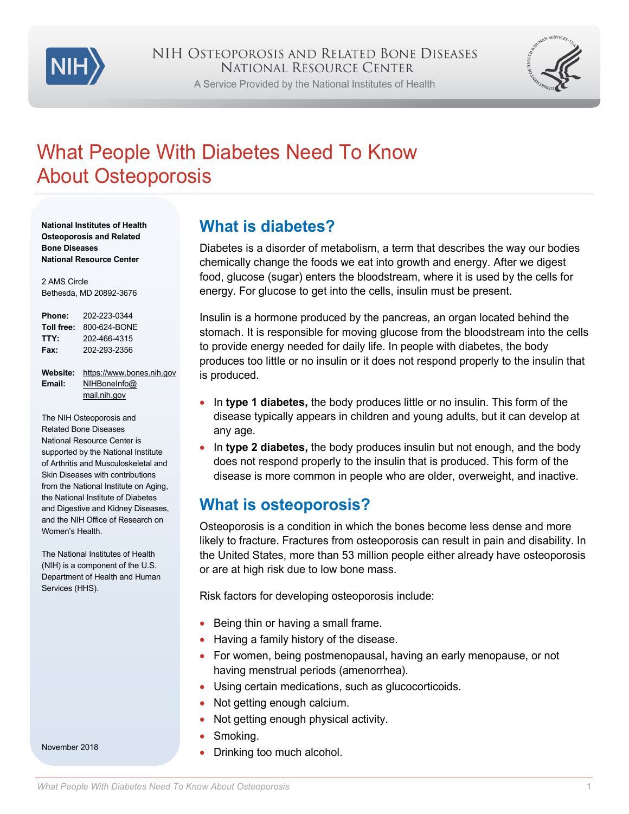

A Service Provided by the National Institutes of Health



# What People With Diabetes Need To Know About Osteoporosis

**National Institutes of Health Osteoporosis and Related Bone Diseases National Resource Center**

2 AMS Circle Bethesda, MD 20892-3676

| <b>Phone:</b> | 202-223-0344 |
|---------------|--------------|
| Toll free:    | 800-624-BONE |
| TTY:          | 202-466-4315 |
| Fax:          | 202-293-2356 |
|               |              |

**Website:** [https://www.bones.nih.gov](https://www.bones.nih.gov/) **Email:** [NIHBoneInfo@](mailto:NIHBoneInfo@mail.nih.gov) [mail.nih.gov](mailto:NIHBoneInfo@mail.nih.gov)

The NIH Osteoporosis and Related Bone Diseases National Resource Center is supported by the National Institute of Arthritis and Musculoskeletal and Skin Diseases with contributions from the National Institute on Aging, the National Institute of Diabetes and Digestive and Kidney Diseases, and the NIH Office of Research on Women's Health.

The National Institutes of Health (NIH) is a component of the U.S. Department of Health and Human Services (HHS).

## **What is diabetes?**

Diabetes is a disorder of metabolism, a term that describes the way our bodies chemically change the foods we eat into growth and energy. After we digest food, glucose (sugar) enters the bloodstream, where it is used by the cells for energy. For glucose to get into the cells, insulin must be present.

Insulin is a hormone produced by the pancreas, an organ located behind the stomach. It is responsible for moving glucose from the bloodstream into the cells to provide energy needed for daily life. In people with diabetes, the body produces too little or no insulin or it does not respond properly to the insulin that is produced.

- In **type 1 diabetes,** the body produces little or no insulin. This form of the disease typically appears in children and young adults, but it can develop at any age.
- In **type 2 diabetes,** the body produces insulin but not enough, and the body does not respond properly to the insulin that is produced. This form of the disease is more common in people who are older, overweight, and inactive.

#### **What is osteoporosis?**

Osteoporosis is a condition in which the bones become less dense and more likely to fracture. Fractures from osteoporosis can result in pain and disability. In the United States, more than 53 million people either already have osteoporosis or are at high risk due to low bone mass.

Risk factors for developing osteoporosis include:

- Being thin or having a small frame.
- Having a family history of the disease.
- For women, being postmenopausal, having an early menopause, or not having menstrual periods (amenorrhea).
- Using certain medications, such as glucocorticoids.
- Not getting enough calcium.
- Not getting enough physical activity.
- Smoking.
- Drinking too much alcohol.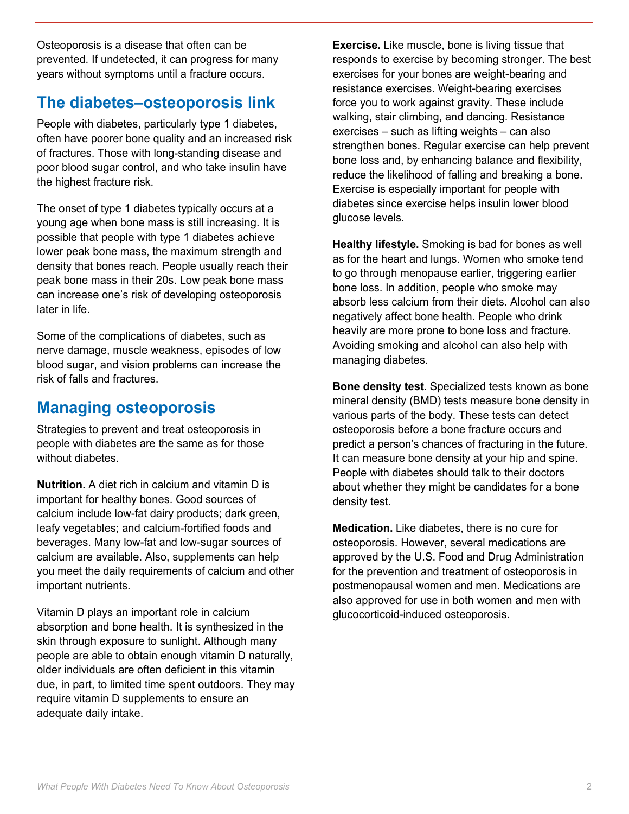Osteoporosis is a disease that often can be prevented. If undetected, it can progress for many years without symptoms until a fracture occurs.

#### **The diabetes–osteoporosis link**

People with diabetes, particularly type 1 diabetes, often have poorer bone quality and an increased risk of fractures. Those with long-standing disease and poor blood sugar control, and who take insulin have the highest fracture risk.

The onset of type 1 diabetes typically occurs at a young age when bone mass is still increasing. It is possible that people with type 1 diabetes achieve lower peak bone mass, the maximum strength and density that bones reach. People usually reach their peak bone mass in their 20s. Low peak bone mass can increase one's risk of developing osteoporosis later in life.

Some of the complications of diabetes, such as nerve damage, muscle weakness, episodes of low blood sugar, and vision problems can increase the risk of falls and fractures.

### **Managing osteoporosis**

Strategies to prevent and treat osteoporosis in people with diabetes are the same as for those without diabetes

**Nutrition.** A diet rich in calcium and vitamin D is important for healthy bones. Good sources of calcium include low-fat dairy products; dark green, leafy vegetables; and calcium-fortified foods and beverages. Many low-fat and low-sugar sources of calcium are available. Also, supplements can help you meet the daily requirements of calcium and other important nutrients.

Vitamin D plays an important role in calcium absorption and bone health. It is synthesized in the skin through exposure to sunlight. Although many people are able to obtain enough vitamin D naturally, older individuals are often deficient in this vitamin due, in part, to limited time spent outdoors. They may require vitamin D supplements to ensure an adequate daily intake.

**Exercise.** Like muscle, bone is living tissue that responds to exercise by becoming stronger. The best exercises for your bones are weight-bearing and resistance exercises. Weight-bearing exercises force you to work against gravity. These include walking, stair climbing, and dancing. Resistance exercises – such as lifting weights – can also strengthen bones. Regular exercise can help prevent bone loss and, by enhancing balance and flexibility, reduce the likelihood of falling and breaking a bone. Exercise is especially important for people with diabetes since exercise helps insulin lower blood glucose levels.

**Healthy lifestyle.** Smoking is bad for bones as well as for the heart and lungs. Women who smoke tend to go through menopause earlier, triggering earlier bone loss. In addition, people who smoke may absorb less calcium from their diets. Alcohol can also negatively affect bone health. People who drink heavily are more prone to bone loss and fracture. Avoiding smoking and alcohol can also help with managing diabetes.

**Bone density test.** Specialized tests known as bone mineral density (BMD) tests measure bone density in various parts of the body. These tests can detect osteoporosis before a bone fracture occurs and predict a person's chances of fracturing in the future. It can measure bone density at your hip and spine. People with diabetes should talk to their doctors about whether they might be candidates for a bone density test.

**Medication.** Like diabetes, there is no cure for osteoporosis. However, several medications are approved by the U.S. Food and Drug Administration for the prevention and treatment of osteoporosis in postmenopausal women and men. Medications are also approved for use in both women and men with glucocorticoid-induced osteoporosis.